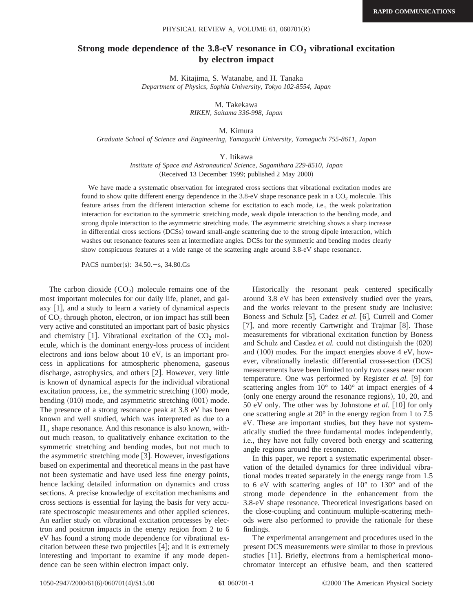## **Strong mode dependence of the 3.8-eV resonance in CO<sub>2</sub> vibrational excitation by electron impact**

M. Kitajima, S. Watanabe, and H. Tanaka *Department of Physics, Sophia University, Tokyo 102-8554, Japan*

M. Takekawa

*RIKEN, Saitama 336-998, Japan*

M. Kimura

*Graduate School of Science and Engineering, Yamaguchi University, Yamaguchi 755-8611, Japan*

## Y. Itikawa

*Institute of Space and Astronautical Science, Sagamihara 229-8510, Japan* (Received 13 December 1999; published 2 May 2000)

We have made a systematic observation for integrated cross sections that vibrational excitation modes are found to show quite different energy dependence in the  $3.8\text{-eV}$  shape resonance peak in a  $CO<sub>2</sub>$  molecule. This feature arises from the different interaction scheme for excitation to each mode, i.e., the weak polarization interaction for excitation to the symmetric stretching mode, weak dipole interaction to the bending mode, and strong dipole interaction to the asymmetric stretching mode. The asymmetric stretching shows a sharp increase in differential cross sections (DCSs) toward small-angle scattering due to the strong dipole interaction, which washes out resonance features seen at intermediate angles. DCSs for the symmetric and bending modes clearly show conspicuous features at a wide range of the scattering angle around 3.8-eV shape resonance.

PACS number(s):  $34.50.-s$ ,  $34.80.Gs$ 

The carbon dioxide  $(CO_2)$  molecule remains one of the most important molecules for our daily life, planet, and galaxy  $\lfloor 1 \rfloor$ , and a study to learn a variety of dynamical aspects of  $CO<sub>2</sub>$  through photon, electron, or ion impact has still been very active and constituted an important part of basic physics and chemistry  $[1]$ . Vibrational excitation of the CO<sub>2</sub> molecule, which is the dominant energy-loss process of incident electrons and ions below about 10 eV, is an important process in applications for atmospheric phenomena, gaseous discharge, astrophysics, and others [2]. However, very little is known of dynamical aspects for the individual vibrational excitation process, i.e., the symmetric stretching  $(100)$  mode, bending  $(010)$  mode, and asymmetric stretching  $(001)$  mode. The presence of a strong resonance peak at 3.8 eV has been known and well studied, which was interpreted as due to a  $\Pi_u$  shape resonance. And this resonance is also known, without much reason, to qualitatively enhance excitation to the symmetric stretching and bending modes, but not much to the asymmetric stretching mode  $[3]$ . However, investigations based on experimental and theoretical means in the past have not been systematic and have used less fine energy points, hence lacking detailed information on dynamics and cross sections. A precise knowledge of excitation mechanisms and cross sections is essential for laying the basis for very accurate spectroscopic measurements and other applied sciences. An earlier study on vibrational excitation processes by electron and positron impacts in the energy region from 2 to 6 eV has found a strong mode dependence for vibrational excitation between these two projectiles  $[4]$ ; and it is extremely interesting and important to examine if any mode dependence can be seen within electron impact only.

Historically the resonant peak centered specifically around 3.8 eV has been extensively studied over the years, and the works relevant to the present study are inclusive: Boness and Schulz [5], Cadez *et al.* [6], Currell and Comer [7], and more recently Cartwright and Trajmar  $[8]$ . Those measurements for vibrational excitation function by Boness and Schulz and Casdez *et al.* could not distinguish the  $(020)$ and  $(100)$  modes. For the impact energies above 4 eV, however, vibrationally inelastic differential cross-section (DCS) measurements have been limited to only two cases near room temperature. One was performed by Register *et al.* [9] for scattering angles from 10° to 140° at impact energies of 4  $\alpha$  (only one energy around the resonance regions), 10, 20, and 50 eV only. The other was by Johnstone *et al.* [10] for only one scattering angle at 20° in the energy region from 1 to 7.5 eV. These are important studies, but they have not systematically studied the three fundamental modes independently, i.e., they have not fully covered both energy and scattering angle regions around the resonance.

In this paper, we report a systematic experimental observation of the detailed dynamics for three individual vibrational modes treated separately in the energy range from 1.5 to 6 eV with scattering angles of 10° to 130° and of the strong mode dependence in the enhancement from the 3.8-eV shape resonance. Theoretical investigations based on the close-coupling and continuum multiple-scattering methods were also performed to provide the rationale for these findings.

The experimental arrangement and procedures used in the present DCS measurements were similar to those in previous studies [11]. Briefly, electrons from a hemispherical monochromator intercept an effusive beam, and then scattered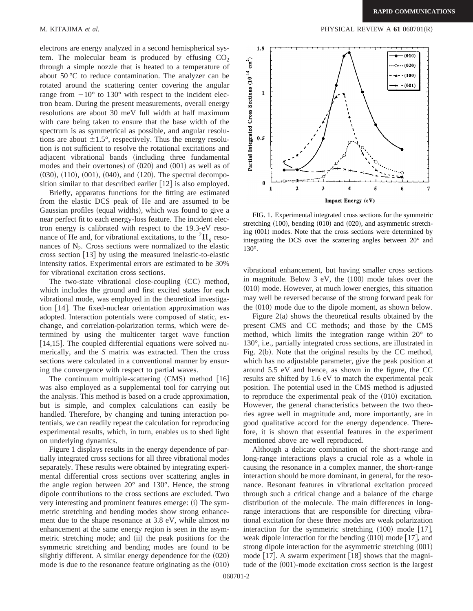electrons are energy analyzed in a second hemispherical system. The molecular beam is produced by effusing  $CO<sub>2</sub>$ through a simple nozzle that is heated to a temperature of about 50 °C to reduce contamination. The analyzer can be rotated around the scattering center covering the angular range from  $-10^{\circ}$  to 130° with respect to the incident electron beam. During the present measurements, overall energy resolutions are about 30 meV full width at half maximum with care being taken to ensure that the base width of the spectrum is as symmetrical as possible, and angular resolutions are about  $\pm 1.5^{\circ}$ , respectively. Thus the energy resolution is not sufficient to resolve the rotational excitations and adjacent vibrational bands (including three fundamental modes and their overtones) of  $(020)$  and  $(001)$  as well as of  $(030)$ ,  $(110)$ ,  $(001)$ ,  $(040)$ , and  $(120)$ . The spectral decomposition similar to that described earlier  $[12]$  is also employed.

Briefly, apparatus functions for the fitting are estimated from the elastic DCS peak of He and are assumed to be Gaussian profiles (equal widths), which was found to give a near perfect fit to each energy-loss feature. The incident electron energy is calibrated with respect to the 19.3-eV resonance of He and, for vibrational excitations, to the  ${}^{2} \Pi_{\sigma}$  resonances of  $N<sub>2</sub>$ . Cross sections were normalized to the elastic cross section  $[13]$  by using the measured inelastic-to-elastic intensity ratios. Experimental errors are estimated to be 30% for vibrational excitation cross sections.

The two-state vibrational close-coupling  $(CC)$  method, which includes the ground and first excited states for each vibrational mode, was employed in the theoretical investigation [14]. The fixed-nuclear orientation approximation was adopted. Interaction potentials were composed of static, exchange, and correlation-polarization terms, which were determined by using the multicenter target wave function  $[14,15]$ . The coupled differential equations were solved numerically, and the *S* matrix was extracted. Then the cross sections were calculated in a conventional manner by ensuring the convergence with respect to partial waves.

The continuum multiple-scattering  $(CMS)$  method  $[16]$ was also employed as a supplemental tool for carrying out the analysis. This method is based on a crude approximation, but is simple, and complex calculations can easily be handled. Therefore, by changing and tuning interaction potentials, we can readily repeat the calculation for reproducing experimental results, which, in turn, enables us to shed light on underlying dynamics.

Figure 1 displays results in the energy dependence of partially integrated cross sections for all three vibrational modes separately. These results were obtained by integrating experimental differential cross sections over scattering angles in the angle region between 20° and 130°. Hence, the strong dipole contributions to the cross sections are excluded. Two very interesting and prominent features emerge: (i) The symmetric stretching and bending modes show strong enhancement due to the shape resonance at 3.8 eV, while almost no enhancement at the same energy region is seen in the asymmetric stretching mode; and (ii) the peak positions for the symmetric stretching and bending modes are found to be slightly different. A similar energy dependence for the  $(020)$ mode is due to the resonance feature originating as the  $(010)$ 



FIG. 1. Experimental integrated cross sections for the symmetric stretching  $(100)$ , bending  $(010)$  and  $(020)$ , and asymmetric stretching  $(001)$  modes. Note that the cross sections were determined by integrating the DCS over the scattering angles between 20° and 130°.

vibrational enhancement, but having smaller cross sections in magnitude. Below  $3$  eV, the  $(100)$  mode takes over the  $(010)$  mode. However, at much lower energies, this situation may well be reversed because of the strong forward peak for the  $(010)$  mode due to the dipole moment, as shown below.

Figure  $2(a)$  shows the theoretical results obtained by the present CMS and CC methods; and those by the CMS method, which limits the integration range within 20° to 130°, i.e., partially integrated cross sections, are illustrated in Fig.  $2(b)$ . Note that the original results by the CC method, which has no adjustable parameter, give the peak position at around 5.5 eV and hence, as shown in the figure, the CC results are shifted by 1.6 eV to match the experimental peak position. The potential used in the CMS method is adjusted to reproduce the experimental peak of the  $(010)$  excitation. However, the general characteristics between the two theories agree well in magnitude and, more importantly, are in good qualitative accord for the energy dependence. Therefore, it is shown that essential features in the experiment mentioned above are well reproduced.

Although a delicate combination of the short-range and long-range interactions plays a crucial role as a whole in causing the resonance in a complex manner, the short-range interaction should be more dominant, in general, for the resonance. Resonant features in vibrational excitation proceed through such a critical change and a balance of the charge distribution of the molecule. The main differences in longrange interactions that are responsible for directing vibrational excitation for these three modes are weak polarization interaction for the symmetric stretching  $(100)$  mode [17], weak dipole interaction for the bending  $(010)$  mode  $[17]$ , and strong dipole interaction for the asymmetric stretching  $(001)$ mode  $[17]$ . A swarm experiment  $[18]$  shows that the magnitude of the  $(001)$ -mode excitation cross section is the largest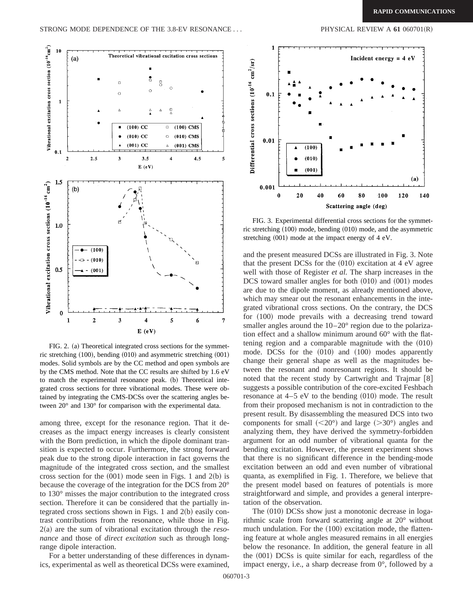

FIG. 2. (a) Theoretical integrated cross sections for the symmetric stretching  $(100)$ , bending  $(010)$  and asymmetric stretching  $(001)$ modes. Solid symbols are by the CC method and open symbols are by the CMS method. Note that the CC results are shifted by 1.6 eV to match the experimental resonance peak. (b) Theoretical integrated cross sections for three vibrational modes. These were obtained by integrating the CMS-DCSs over the scattering angles between 20° and 130° for comparison with the experimental data.

among three, except for the resonance region. That it decreases as the impact energy increases is clearly consistent with the Born prediction, in which the dipole dominant transition is expected to occur. Furthermore, the strong forward peak due to the strong dipole interaction in fact governs the magnitude of the integrated cross section, and the smallest cross section for the  $(001)$  mode seen in Figs. 1 and 2(b) is because the coverage of the integration for the DCS from 20° to 130° misses the major contribution to the integrated cross section. Therefore it can be considered that the partially integrated cross sections shown in Figs. 1 and  $2(b)$  easily contrast contributions from the resonance, while those in Fig. 2(a) are the sum of vibrational excitation through the *resonance* and those of *direct excitation* such as through longrange dipole interaction.

For a better understanding of these differences in dynamics, experimental as well as theoretical DCSs were examined,



FIG. 3. Experimental differential cross sections for the symmetric stretching  $(100)$  mode, bending  $(010)$  mode, and the asymmetric stretching  $(001)$  mode at the impact energy of 4 eV.

and the present measured DCSs are illustrated in Fig. 3. Note that the present DCSs for the  $(010)$  excitation at 4 eV agree well with those of Register *et al.* The sharp increases in the DCS toward smaller angles for both  $(010)$  and  $(001)$  modes are due to the dipole moment, as already mentioned above, which may smear out the resonant enhancements in the integrated vibrational cross sections. On the contrary, the DCS for  $(100)$  mode prevails with a decreasing trend toward smaller angles around the  $10-20^{\circ}$  region due to the polarization effect and a shallow minimum around 60° with the flattening region and a comparable magnitude with the  $(010)$ mode. DCSs for the  $(010)$  and  $(100)$  modes apparently change their general shape as well as the magnitudes between the resonant and nonresonant regions. It should be noted that the recent study by Cartwright and Trajmar  $[8]$ suggests a possible contribution of the core-excited Feshbach resonance at  $4-5$  eV to the bending  $(010)$  mode. The result from their proposed mechanism is not in contradiction to the present result. By disassembling the measured DCS into two components for small  $(<20^{\circ}$ ) and large  $(>30^{\circ})$  angles and analyzing them, they have derived the symmetry-forbidden argument for an odd number of vibrational quanta for the bending excitation. However, the present experiment shows that there is no significant difference in the bending-mode excitation between an odd and even number of vibrational quanta, as exemplified in Fig. 1. Therefore, we believe that the present model based on features of potentials is more straightforward and simple, and provides a general interpretation of the observation.

The  $(010)$  DCSs show just a monotonic decrease in logarithmic scale from forward scattering angle at 20° without much undulation. For the  $(100)$  excitation mode, the flattening feature at whole angles measured remains in all energies below the resonance. In addition, the general feature in all the  $(001)$  DCSs is quite similar for each, regardless of the impact energy, i.e., a sharp decrease from 0°, followed by a